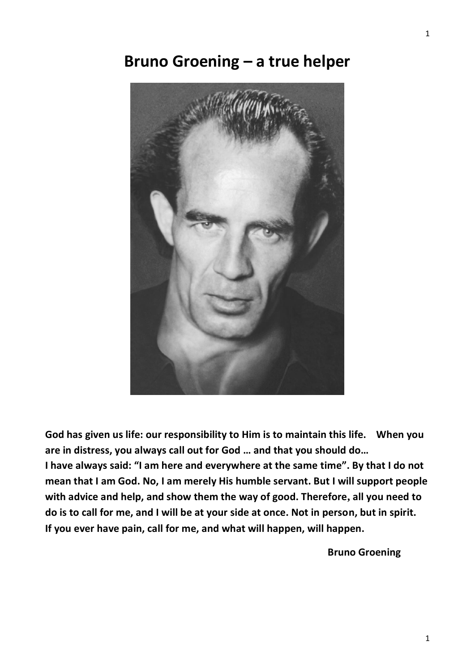# **Bruno Groening – a true helper**



**God has given us life: our responsibility to Him is to maintain this life. When you are in distress, you always call out for God … and that you should do… I have always said: "I am here and everywhere at the same time". By that I do not mean that I am God. No, I am merely His humble servant. But I will support people with advice and help, and show them the way of good. Therefore, all you need to do is to call for me, and I will be at your side at once. Not in person, but in spirit. If you ever have pain, call for me, and what will happen, will happen.**

**Bruno Groening**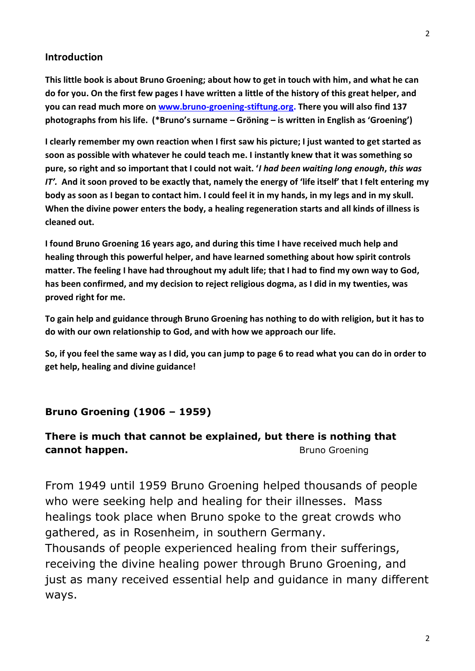### **Introduction**

**This little book is about Bruno Groening; about how to get in touch with him, and what he can do for you. On the first few pages I have written a little of the history of this great helper, and you can read much more on [www.bruno-groening-stiftung.org.](http://www.bruno-groening-stiftung.org/) There you will also find 137 photographs from his life. (\*Bruno's surname – Gröning – is written in English as 'Groening')**

**I clearly remember my own reaction when I first saw his picture; I just wanted to get started as soon as possible with whatever he could teach me. I instantly knew that it was something so pure, so right and so important that I could not wait. '***I had been waiting long enough***,** *this was IT'.* **And it soon proved to be exactly that, namely the energy of 'life itself' that I felt entering my body as soon as I began to contact him. I could feel it in my hands, in my legs and in my skull. When the divine power enters the body, a healing regeneration starts and all kinds of illness is cleaned out.**

**I found Bruno Groening 16 years ago, and during this time I have received much help and healing through this powerful helper, and have learned something about how spirit controls matter. The feeling I have had throughout my adult life; that I had to find my own way to God, has been confirmed, and my decision to reject religious dogma, as I did in my twenties, was proved right for me.**

**To gain help and guidance through Bruno Groening has nothing to do with religion, but it has to do with our own relationship to God, and with how we approach our life.**

**So, if you feel the same way as I did, you can jump to page 6 to read what you can do in order to get help, healing and divine guidance!**

#### **Bruno Groening (1906 – 1959)**

### **There is much that cannot be explained, but there is nothing that cannot happen. Bruno Groening**

From 1949 until 1959 Bruno Groening helped thousands of people who were seeking help and healing for their illnesses. Mass healings took place when Bruno spoke to the great crowds who gathered, as in Rosenheim, in southern Germany.

Thousands of people experienced healing from their sufferings, receiving the divine healing power through Bruno Groening, and just as many received essential help and guidance in many different ways.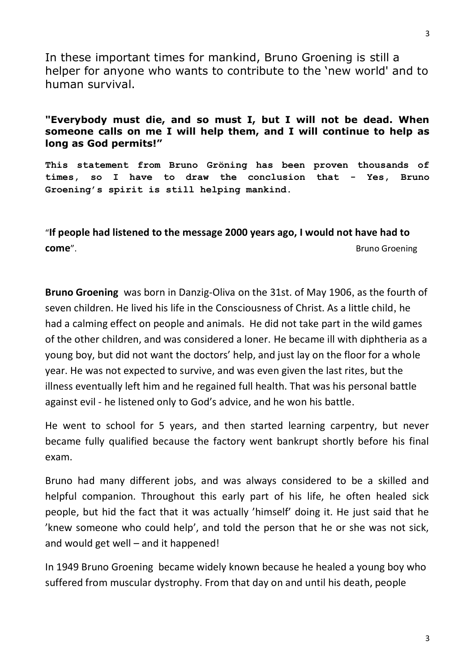In these important times for mankind, Bruno Groening is still a helper for anyone who wants to contribute to the 'new world' and to human survival.

### **"Everybody must die, and so must I, but I will not be dead. When someone calls on me I will help them, and I will continue to help as long as God permits!"**

**This statement from Bruno Gröning has been proven thousands of times, so I have to draw the conclusion that - Yes, Bruno Groening's spirit is still helping mankind.**

"**If people had listened to the message 2000 years ago, I would not have had to come**". **Bruno Groening Come** and the set of the set of the set of the set of the set of the set of the set of the set of the set of the set of the set of the set of the set of the set of the set of the set of the set o

**Bruno Groening** was born in Danzig-Oliva on the 31st. of May 1906, as the fourth of seven children. He lived his life in the Consciousness of Christ. As a little child, he had a calming effect on people and animals. He did not take part in the wild games of the other children, and was considered a loner. He became ill with diphtheria as a young boy, but did not want the doctors' help, and just lay on the floor for a whole year. He was not expected to survive, and was even given the last rites, but the illness eventually left him and he regained full health. That was his personal battle against evil - he listened only to God's advice, and he won his battle.

He went to school for 5 years, and then started learning carpentry, but never became fully qualified because the factory went bankrupt shortly before his final exam.

Bruno had many different jobs, and was always considered to be a skilled and helpful companion. Throughout this early part of his life, he often healed sick people, but hid the fact that it was actually 'himself' doing it. He just said that he 'knew someone who could help', and told the person that he or she was not sick, and would get well – and it happened!

In 1949 Bruno Groening became widely known because he healed a young boy who suffered from muscular dystrophy. From that day on and until his death, people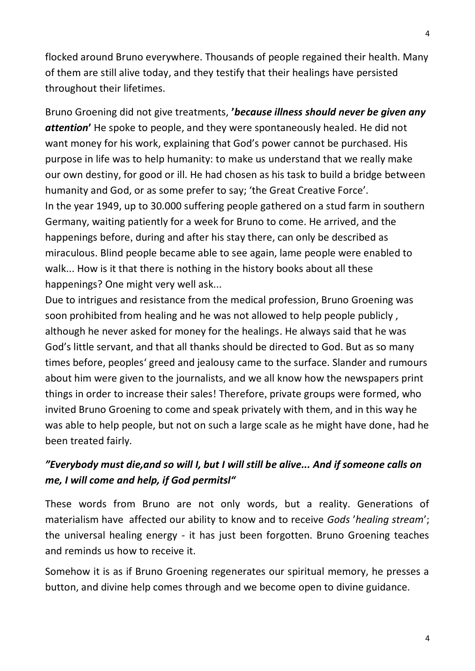flocked around Bruno everywhere. Thousands of people regained their health. Many of them are still alive today, and they testify that their healings have persisted throughout their lifetimes.

Bruno Groening did not give treatments, **'***because illness should never be given any attention***'** He spoke to people, and they were spontaneously healed. He did not want money for his work, explaining that God's power cannot be purchased. His purpose in life was to help humanity: to make us understand that we really make our own destiny, for good or ill. He had chosen as his task to build a bridge between humanity and God, or as some prefer to say; 'the Great Creative Force'. In the year 1949, up to 30.000 suffering people gathered on a stud farm in southern Germany, waiting patiently for a week for Bruno to come. He arrived, and the happenings before, during and after his stay there, can only be described as miraculous. Blind people became able to see again, lame people were enabled to walk... How is it that there is nothing in the history books about all these happenings? One might very well ask...

Due to intrigues and resistance from the medical profession, Bruno Groening was soon prohibited from healing and he was not allowed to help people publicly , although he never asked for money for the healings. He always said that he was God's little servant, and that all thanks should be directed to God. But as so many times before, peoples' greed and jealousy came to the surface. Slander and rumours about him were given to the journalists, and we all know how the newspapers print things in order to increase their sales! Therefore, private groups were formed, who invited Bruno Groening to come and speak privately with them, and in this way he was able to help people, but not on such a large scale as he might have done, had he been treated fairly.

# *"Everybody must die,and so will I, but I will still be alive... And if someone calls on me, I will come and help, if God permitsl"*

These words from Bruno are not only words, but a reality. Generations of materialism have affected our ability to know and to receive *Gods* '*healing stream*'; the universal healing energy - it has just been forgotten. Bruno Groening teaches and reminds us how to receive it.

Somehow it is as if Bruno Groening regenerates our spiritual memory, he presses a button, and divine help comes through and we become open to divine guidance.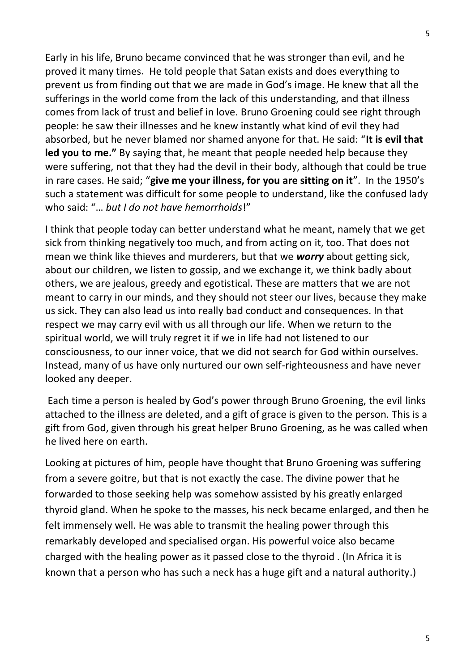Early in his life, Bruno became convinced that he was stronger than evil, and he proved it many times. He told people that Satan exists and does everything to prevent us from finding out that we are made in God's image. He knew that all the sufferings in the world come from the lack of this understanding, and that illness comes from lack of trust and belief in love. Bruno Groening could see right through people: he saw their illnesses and he knew instantly what kind of evil they had absorbed, but he never blamed nor shamed anyone for that. He said: "**It is evil that led you to me."** By saying that, he meant that people needed help because they were suffering, not that they had the devil in their body, although that could be true in rare cases. He said; "**give me your illness, for you are sitting on it**". In the 1950's such a statement was difficult for some people to understand, like the confused lady who said: "… *but I do not have hemorrhoids*!"

I think that people today can better understand what he meant, namely that we get sick from thinking negatively too much, and from acting on it, too. That does not mean we think like thieves and murderers, but that we *worry* about getting sick, about our children, we listen to gossip, and we exchange it, we think badly about others, we are jealous, greedy and egotistical. These are matters that we are not meant to carry in our minds, and they should not steer our lives, because they make us sick. They can also lead us into really bad conduct and consequences. In that respect we may carry evil with us all through our life. When we return to the spiritual world, we will truly regret it if we in life had not listened to our consciousness, to our inner voice, that we did not search for God within ourselves. Instead, many of us have only nurtured our own self-righteousness and have never looked any deeper.

Each time a person is healed by God's power through Bruno Groening, the evil links attached to the illness are deleted, and a gift of grace is given to the person. This is a gift from God, given through his great helper Bruno Groening, as he was called when he lived here on earth.

Looking at pictures of him, people have thought that Bruno Groening was suffering from a severe goitre, but that is not exactly the case. The divine power that he forwarded to those seeking help was somehow assisted by his greatly enlarged thyroid gland. When he spoke to the masses, his neck became enlarged, and then he felt immensely well. He was able to transmit the healing power through this remarkably developed and specialised organ. His powerful voice also became charged with the healing power as it passed close to the thyroid . (In Africa it is known that a person who has such a neck has a huge gift and a natural authority.)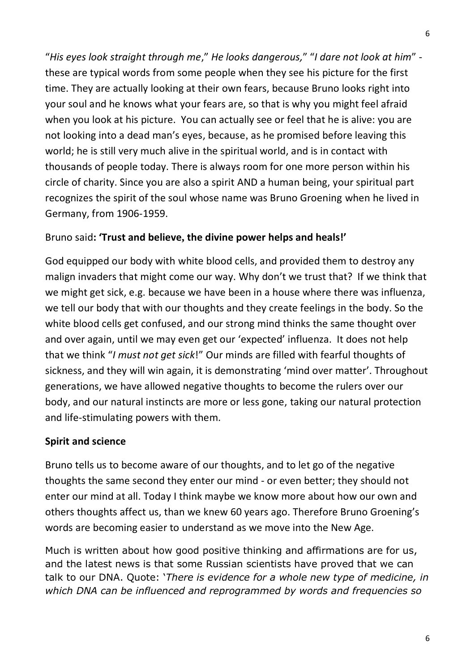"*His eyes look straight through me*," *He looks dangerous,*" "*I dare not look at him*" these are typical words from some people when they see his picture for the first time. They are actually looking at their own fears, because Bruno looks right into your soul and he knows what your fears are, so that is why you might feel afraid when you look at his picture. You can actually see or feel that he is alive: you are not looking into a dead man's eyes, because, as he promised before leaving this world; he is still very much alive in the spiritual world, and is in contact with thousands of people today. There is always room for one more person within his circle of charity. Since you are also a spirit AND a human being, your spiritual part recognizes the spirit of the soul whose name was Bruno Groening when he lived in Germany, from 1906-1959.

### Bruno said**: 'Trust and believe, the divine power helps and heals!'**

God equipped our body with white blood cells, and provided them to destroy any malign invaders that might come our way. Why don't we trust that? If we think that we might get sick, e.g. because we have been in a house where there was influenza, we tell our body that with our thoughts and they create feelings in the body. So the white blood cells get confused, and our strong mind thinks the same thought over and over again, until we may even get our 'expected' influenza. It does not help that we think "*I must not get sick*!" Our minds are filled with fearful thoughts of sickness, and they will win again, it is demonstrating 'mind over matter'. Throughout generations, we have allowed negative thoughts to become the rulers over our body, and our natural instincts are more or less gone, taking our natural protection and life-stimulating powers with them.

### **Spirit and science**

Bruno tells us to become aware of our thoughts, and to let go of the negative thoughts the same second they enter our mind - or even better; they should not enter our mind at all. Today I think maybe we know more about how our own and others thoughts affect us, than we knew 60 years ago. Therefore Bruno Groening's words are becoming easier to understand as we move into the New Age.

Much is written about how good positive thinking and affirmations are for us, and the latest news is that some Russian scientists have proved that we can talk to our DNA. Quote: '*There is evidence for a whole new type of medicine, in which DNA can be influenced and reprogrammed by words and frequencies so*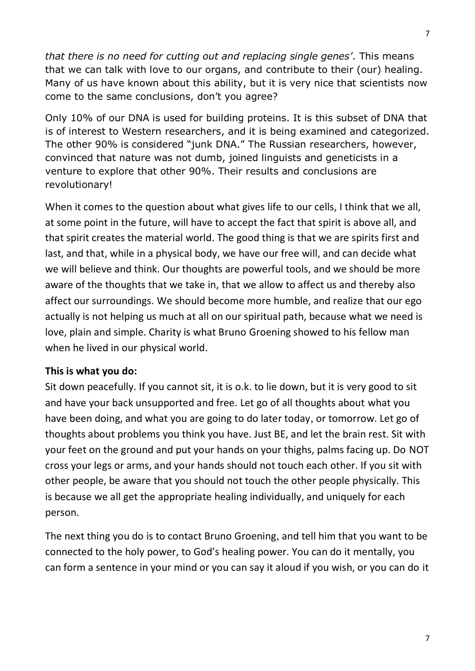*that there is no need for cutting out and replacing single genes'*. This means that we can talk with love to our organs, and contribute to their (our) healing. Many of us have known about this ability, but it is very nice that scientists now come to the same conclusions, don't you agree?

Only 10% of our DNA is used for building proteins. It is this subset of DNA that is of interest to Western researchers, and it is being examined and categorized. The other 90% is considered "junk DNA." The Russian researchers, however, convinced that nature was not dumb, joined linguists and geneticists in a venture to explore that other 90%. Their results and conclusions are revolutionary!

When it comes to the question about what gives life to our cells, I think that we all, at some point in the future, will have to accept the fact that spirit is above all, and that spirit creates the material world. The good thing is that we are spirits first and last, and that, while in a physical body, we have our free will, and can decide what we will believe and think. Our thoughts are powerful tools, and we should be more aware of the thoughts that we take in, that we allow to affect us and thereby also affect our surroundings. We should become more humble, and realize that our ego actually is not helping us much at all on our spiritual path, because what we need is love, plain and simple. Charity is what Bruno Groening showed to his fellow man when he lived in our physical world.

### **This is what you do:**

Sit down peacefully. If you cannot sit, it is o.k. to lie down, but it is very good to sit and have your back unsupported and free. Let go of all thoughts about what you have been doing, and what you are going to do later today, or tomorrow. Let go of thoughts about problems you think you have. Just BE, and let the brain rest. Sit with your feet on the ground and put your hands on your thighs, palms facing up. Do NOT cross your legs or arms, and your hands should not touch each other. If you sit with other people, be aware that you should not touch the other people physically. This is because we all get the appropriate healing individually, and uniquely for each person.

The next thing you do is to contact Bruno Groening, and tell him that you want to be connected to the holy power, to God's healing power. You can do it mentally, you can form a sentence in your mind or you can say it aloud if you wish, or you can do it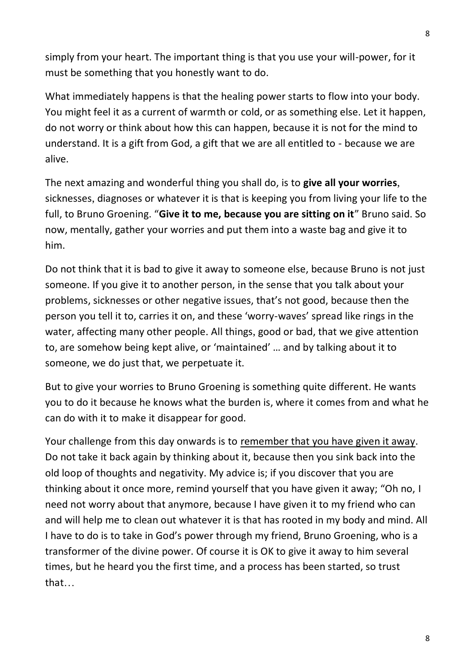simply from your heart. The important thing is that you use your will-power, for it must be something that you honestly want to do.

What immediately happens is that the healing power starts to flow into your body. You might feel it as a current of warmth or cold, or as something else. Let it happen, do not worry or think about how this can happen, because it is not for the mind to understand. It is a gift from God, a gift that we are all entitled to - because we are alive.

The next amazing and wonderful thing you shall do, is to **give all your worries**, sicknesses, diagnoses or whatever it is that is keeping you from living your life to the full, to Bruno Groening. "**Give it to me, because you are sitting on it**" Bruno said. So now, mentally, gather your worries and put them into a waste bag and give it to him.

Do not think that it is bad to give it away to someone else, because Bruno is not just someone. If you give it to another person, in the sense that you talk about your problems, sicknesses or other negative issues, that's not good, because then the person you tell it to, carries it on, and these 'worry-waves' spread like rings in the water, affecting many other people. All things, good or bad, that we give attention to, are somehow being kept alive, or 'maintained' … and by talking about it to someone, we do just that, we perpetuate it.

But to give your worries to Bruno Groening is something quite different. He wants you to do it because he knows what the burden is, where it comes from and what he can do with it to make it disappear for good.

Your challenge from this day onwards is to remember that you have given it away. Do not take it back again by thinking about it, because then you sink back into the old loop of thoughts and negativity. My advice is; if you discover that you are thinking about it once more, remind yourself that you have given it away; "Oh no, I need not worry about that anymore, because I have given it to my friend who can and will help me to clean out whatever it is that has rooted in my body and mind. All I have to do is to take in God's power through my friend, Bruno Groening, who is a transformer of the divine power. Of course it is OK to give it away to him several times, but he heard you the first time, and a process has been started, so trust that…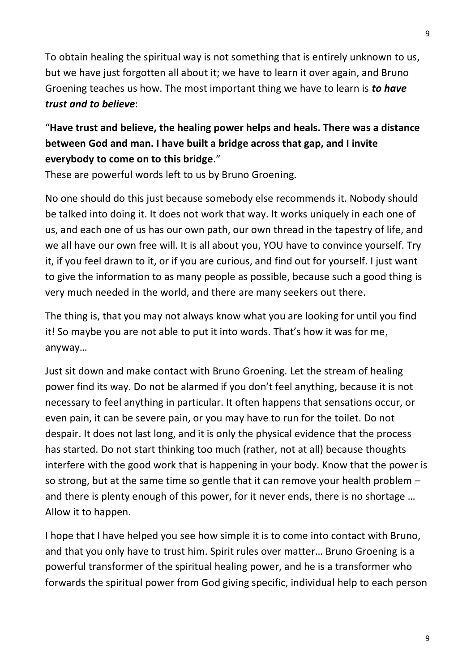To obtain healing the spiritual way is not something that is entirely unknown to us, but we have just forgotten all about it; we have to learn it over again, and Bruno Groening teaches us how. The most important thing we have to learn is *to have trust and to believe*:

# "**Have trust and believe, the healing power helps and heals. There was a distance between God and man. I have built a bridge across that gap, and I invite everybody to come on to this bridge**."

These are powerful words left to us by Bruno Groening.

No one should do this just because somebody else recommends it. Nobody should be talked into doing it. It does not work that way. It works uniquely in each one of us, and each one of us has our own path, our own thread in the tapestry of life, and we all have our own free will. It is all about you, YOU have to convince yourself. Try it, if you feel drawn to it, or if you are curious, and find out for yourself. I just want to give the information to as many people as possible, because such a good thing is very much needed in the world, and there are many seekers out there.

The thing is, that you may not always know what you are looking for until you find it! So maybe you are not able to put it into words. That's how it was for me, anyway…

Just sit down and make contact with Bruno Groening. Let the stream of healing power find its way. Do not be alarmed if you don't feel anything, because it is not necessary to feel anything in particular. It often happens that sensations occur, or even pain, it can be severe pain, or you may have to run for the toilet. Do not despair. It does not last long, and it is only the physical evidence that the process has started. Do not start thinking too much (rather, not at all) because thoughts interfere with the good work that is happening in your body. Know that the power is so strong, but at the same time so gentle that it can remove your health problem – and there is plenty enough of this power, for it never ends, there is no shortage … Allow it to happen.

I hope that I have helped you see how simple it is to come into contact with Bruno, and that you only have to trust him. Spirit rules over matter… Bruno Groening is a powerful transformer of the spiritual healing power, and he is a transformer who forwards the spiritual power from God giving specific, individual help to each person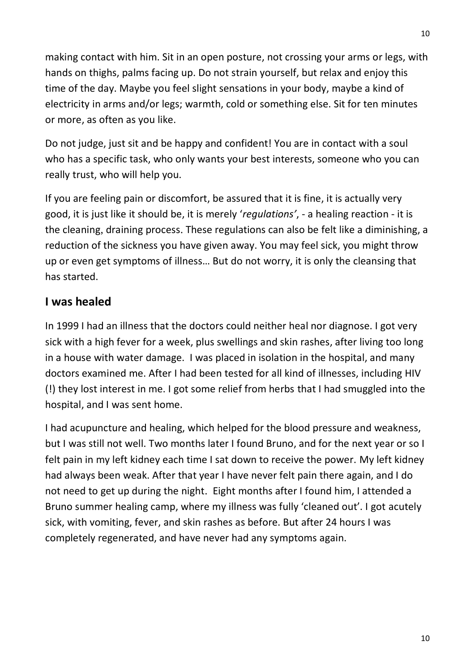making contact with him. Sit in an open posture, not crossing your arms or legs, with hands on thighs, palms facing up. Do not strain yourself, but relax and enjoy this time of the day. Maybe you feel slight sensations in your body, maybe a kind of electricity in arms and/or legs; warmth, cold or something else. Sit for ten minutes or more, as often as you like.

Do not judge, just sit and be happy and confident! You are in contact with a soul who has a specific task, who only wants your best interests, someone who you can really trust, who will help you.

If you are feeling pain or discomfort, be assured that it is fine, it is actually very good, it is just like it should be, it is merely '*regulations'*, - a healing reaction - it is the cleaning, draining process. These regulations can also be felt like a diminishing, a reduction of the sickness you have given away. You may feel sick, you might throw up or even get symptoms of illness… But do not worry, it is only the cleansing that has started.

## **I was healed**

In 1999 I had an illness that the doctors could neither heal nor diagnose. I got very sick with a high fever for a week, plus swellings and skin rashes, after living too long in a house with water damage. I was placed in isolation in the hospital, and many doctors examined me. After I had been tested for all kind of illnesses, including HIV (!) they lost interest in me. I got some relief from herbs that I had smuggled into the hospital, and I was sent home.

I had acupuncture and healing, which helped for the blood pressure and weakness, but I was still not well. Two months later I found Bruno, and for the next year or so I felt pain in my left kidney each time I sat down to receive the power. My left kidney had always been weak. After that year I have never felt pain there again, and I do not need to get up during the night. Eight months after I found him, I attended a Bruno summer healing camp, where my illness was fully 'cleaned out'. I got acutely sick, with vomiting, fever, and skin rashes as before. But after 24 hours I was completely regenerated, and have never had any symptoms again.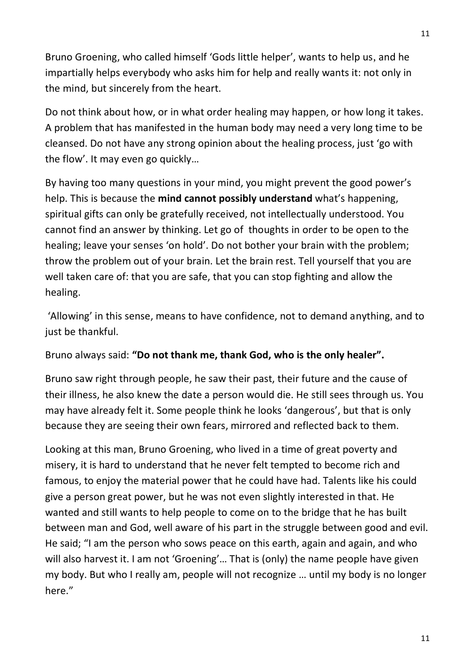Bruno Groening, who called himself 'Gods little helper', wants to help us, and he impartially helps everybody who asks him for help and really wants it: not only in the mind, but sincerely from the heart.

Do not think about how, or in what order healing may happen, or how long it takes. A problem that has manifested in the human body may need a very long time to be cleansed. Do not have any strong opinion about the healing process, just 'go with the flow'. It may even go quickly…

By having too many questions in your mind, you might prevent the good power's help. This is because the **mind cannot possibly understand** what's happening, spiritual gifts can only be gratefully received, not intellectually understood. You cannot find an answer by thinking. Let go of thoughts in order to be open to the healing; leave your senses 'on hold'. Do not bother your brain with the problem; throw the problem out of your brain. Let the brain rest. Tell yourself that you are well taken care of: that you are safe, that you can stop fighting and allow the healing.

'Allowing' in this sense, means to have confidence, not to demand anything, and to just be thankful.

Bruno always said: **"Do not thank me, thank God, who is the only healer".**

Bruno saw right through people, he saw their past, their future and the cause of their illness, he also knew the date a person would die. He still sees through us. You may have already felt it. Some people think he looks 'dangerous', but that is only because they are seeing their own fears, mirrored and reflected back to them.

Looking at this man, Bruno Groening, who lived in a time of great poverty and misery, it is hard to understand that he never felt tempted to become rich and famous, to enjoy the material power that he could have had. Talents like his could give a person great power, but he was not even slightly interested in that. He wanted and still wants to help people to come on to the bridge that he has built between man and God, well aware of his part in the struggle between good and evil. He said; "I am the person who sows peace on this earth, again and again, and who will also harvest it. I am not 'Groening'… That is (only) the name people have given my body. But who I really am, people will not recognize … until my body is no longer here."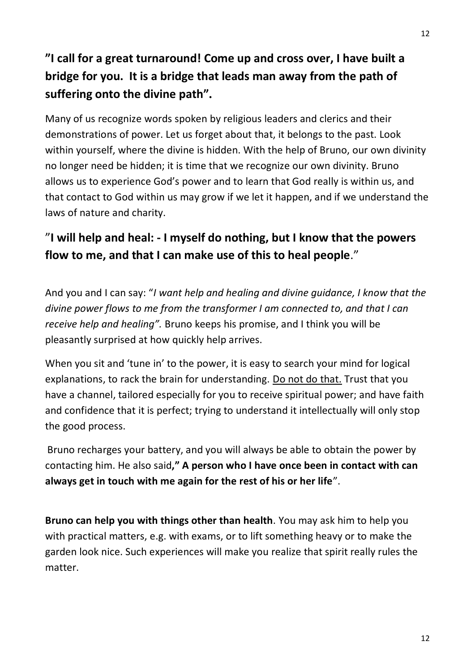# **"I call for a great turnaround! Come up and cross over, I have built a bridge for you. It is a bridge that leads man away from the path of suffering onto the divine path".**

Many of us recognize words spoken by religious leaders and clerics and their demonstrations of power. Let us forget about that, it belongs to the past. Look within yourself, where the divine is hidden. With the help of Bruno, our own divinity no longer need be hidden; it is time that we recognize our own divinity. Bruno allows us to experience God's power and to learn that God really is within us, and that contact to God within us may grow if we let it happen, and if we understand the laws of nature and charity.

# "**I will help and heal: - I myself do nothing, but I know that the powers flow to me, and that I can make use of this to heal people**."

And you and I can say: "*I want help and healing and divine guidance, I know that the divine power flows to me from the transformer I am connected to, and that I can receive help and healing".* Bruno keeps his promise, and I think you will be pleasantly surprised at how quickly help arrives.

When you sit and 'tune in' to the power, it is easy to search your mind for logical explanations, to rack the brain for understanding. Do not do that. Trust that you have a channel, tailored especially for you to receive spiritual power; and have faith and confidence that it is perfect; trying to understand it intellectually will only stop the good process.

Bruno recharges your battery, and you will always be able to obtain the power by contacting him. He also said**," A person who I have once been in contact with can always get in touch with me again for the rest of his or her life**".

**Bruno can help you with things other than health**. You may ask him to help you with practical matters, e.g. with exams, or to lift something heavy or to make the garden look nice. Such experiences will make you realize that spirit really rules the matter.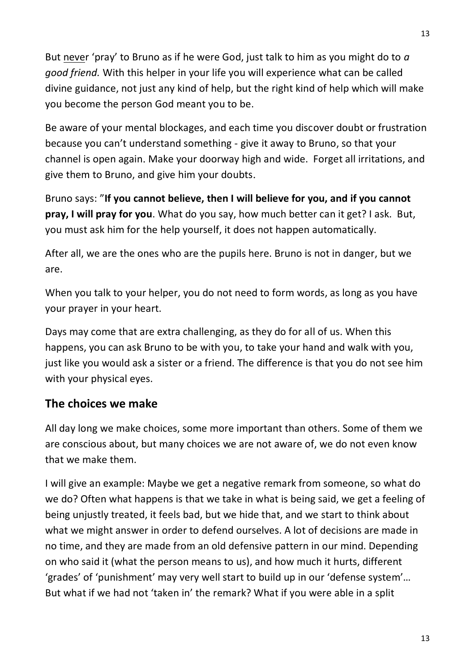But never 'pray' to Bruno as if he were God, just talk to him as you might do to *a good friend.* With this helper in your life you will experience what can be called divine guidance, not just any kind of help, but the right kind of help which will make you become the person God meant you to be.

Be aware of your mental blockages, and each time you discover doubt or frustration because you can't understand something - give it away to Bruno, so that your channel is open again. Make your doorway high and wide. Forget all irritations, and give them to Bruno, and give him your doubts.

Bruno says: "**If you cannot believe, then I will believe for you, and if you cannot pray, I will pray for you**. What do you say, how much better can it get? I ask. But, you must ask him for the help yourself, it does not happen automatically.

After all, we are the ones who are the pupils here. Bruno is not in danger, but we are.

When you talk to your helper, you do not need to form words, as long as you have your prayer in your heart.

Days may come that are extra challenging, as they do for all of us. When this happens, you can ask Bruno to be with you, to take your hand and walk with you, just like you would ask a sister or a friend. The difference is that you do not see him with your physical eyes.

# **The choices we make**

All day long we make choices, some more important than others. Some of them we are conscious about, but many choices we are not aware of, we do not even know that we make them.

I will give an example: Maybe we get a negative remark from someone, so what do we do? Often what happens is that we take in what is being said, we get a feeling of being unjustly treated, it feels bad, but we hide that, and we start to think about what we might answer in order to defend ourselves. A lot of decisions are made in no time, and they are made from an old defensive pattern in our mind. Depending on who said it (what the person means to us), and how much it hurts, different 'grades' of 'punishment' may very well start to build up in our 'defense system'… But what if we had not 'taken in' the remark? What if you were able in a split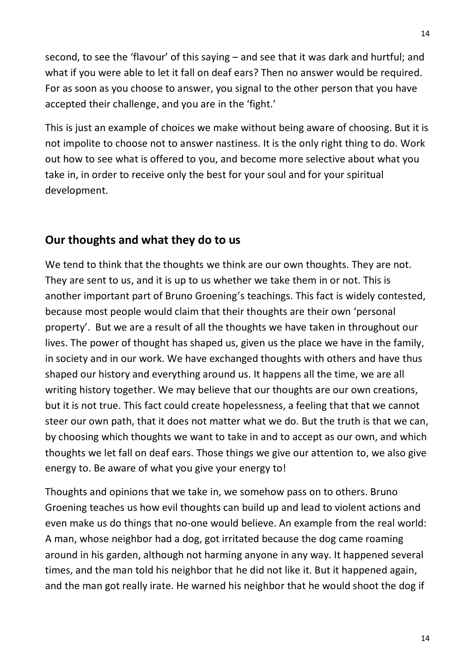second, to see the 'flavour' of this saying – and see that it was dark and hurtful; and what if you were able to let it fall on deaf ears? Then no answer would be required. For as soon as you choose to answer, you signal to the other person that you have accepted their challenge, and you are in the 'fight.'

This is just an example of choices we make without being aware of choosing. But it is not impolite to choose not to answer nastiness. It is the only right thing to do. Work out how to see what is offered to you, and become more selective about what you take in, in order to receive only the best for your soul and for your spiritual development.

### **Our thoughts and what they do to us**

We tend to think that the thoughts we think are our own thoughts. They are not. They are sent to us, and it is up to us whether we take them in or not. This is another important part of Bruno Groening's teachings. This fact is widely contested, because most people would claim that their thoughts are their own 'personal property'. But we are a result of all the thoughts we have taken in throughout our lives. The power of thought has shaped us, given us the place we have in the family, in society and in our work. We have exchanged thoughts with others and have thus shaped our history and everything around us. It happens all the time, we are all writing history together. We may believe that our thoughts are our own creations, but it is not true. This fact could create hopelessness, a feeling that that we cannot steer our own path, that it does not matter what we do. But the truth is that we can, by choosing which thoughts we want to take in and to accept as our own, and which thoughts we let fall on deaf ears. Those things we give our attention to, we also give energy to. Be aware of what you give your energy to!

Thoughts and opinions that we take in, we somehow pass on to others. Bruno Groening teaches us how evil thoughts can build up and lead to violent actions and even make us do things that no-one would believe. An example from the real world: A man, whose neighbor had a dog, got irritated because the dog came roaming around in his garden, although not harming anyone in any way. It happened several times, and the man told his neighbor that he did not like it. But it happened again, and the man got really irate. He warned his neighbor that he would shoot the dog if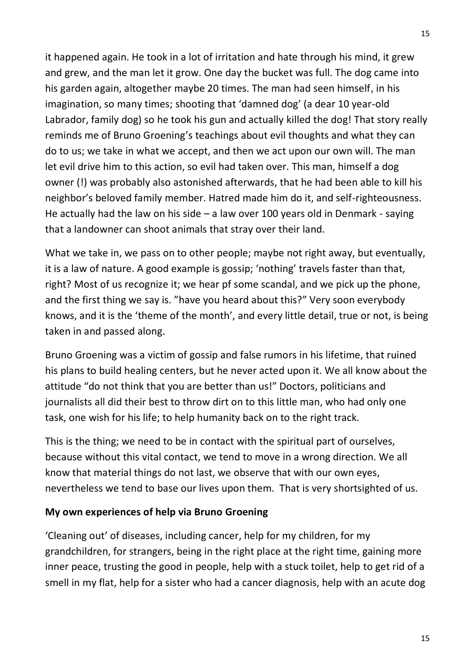it happened again. He took in a lot of irritation and hate through his mind, it grew and grew, and the man let it grow. One day the bucket was full. The dog came into his garden again, altogether maybe 20 times. The man had seen himself, in his imagination, so many times; shooting that 'damned dog' (a dear 10 year-old Labrador, family dog) so he took his gun and actually killed the dog! That story really reminds me of Bruno Groening's teachings about evil thoughts and what they can do to us; we take in what we accept, and then we act upon our own will. The man let evil drive him to this action, so evil had taken over. This man, himself a dog owner (!) was probably also astonished afterwards, that he had been able to kill his neighbor's beloved family member. Hatred made him do it, and self-righteousness. He actually had the law on his side  $-$  a law over 100 years old in Denmark - saying that a landowner can shoot animals that stray over their land.

What we take in, we pass on to other people; maybe not right away, but eventually, it is a law of nature. A good example is gossip; 'nothing' travels faster than that, right? Most of us recognize it; we hear pf some scandal, and we pick up the phone, and the first thing we say is. "have you heard about this?" Very soon everybody knows, and it is the 'theme of the month', and every little detail, true or not, is being taken in and passed along.

Bruno Groening was a victim of gossip and false rumors in his lifetime, that ruined his plans to build healing centers, but he never acted upon it. We all know about the attitude "do not think that you are better than us!" Doctors, politicians and journalists all did their best to throw dirt on to this little man, who had only one task, one wish for his life; to help humanity back on to the right track.

This is the thing; we need to be in contact with the spiritual part of ourselves, because without this vital contact, we tend to move in a wrong direction. We all know that material things do not last, we observe that with our own eyes, nevertheless we tend to base our lives upon them. That is very shortsighted of us.

### **My own experiences of help via Bruno Groening**

'Cleaning out' of diseases, including cancer, help for my children, for my grandchildren, for strangers, being in the right place at the right time, gaining more inner peace, trusting the good in people, help with a stuck toilet, help to get rid of a smell in my flat, help for a sister who had a cancer diagnosis, help with an acute dog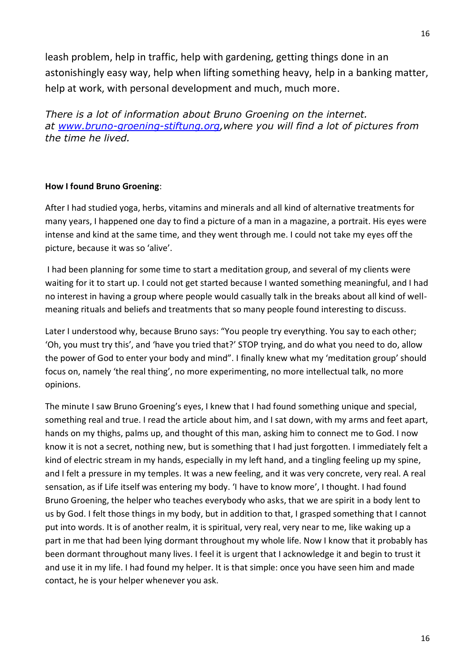leash problem, help in traffic, help with gardening, getting things done in an astonishingly easy way, help when lifting something heavy, help in a banking matter, help at work, with personal development and much, much more.

*There is a lot of information about Bruno Groening on the internet. at [www.bruno-groening-stiftung.org,](http://www.bruno-groening-stiftung.org/)where you will find a lot of pictures from the time he lived.*

#### **How I found Bruno Groening**:

After I had studied yoga, herbs, vitamins and minerals and all kind of alternative treatments for many years, I happened one day to find a picture of a man in a magazine, a portrait. His eyes were intense and kind at the same time, and they went through me. I could not take my eyes off the picture, because it was so 'alive'.

I had been planning for some time to start a meditation group, and several of my clients were waiting for it to start up. I could not get started because I wanted something meaningful, and I had no interest in having a group where people would casually talk in the breaks about all kind of wellmeaning rituals and beliefs and treatments that so many people found interesting to discuss.

Later I understood why, because Bruno says: "You people try everything. You say to each other; 'Oh, you must try this', and 'have you tried that?' STOP trying, and do what you need to do, allow the power of God to enter your body and mind". I finally knew what my 'meditation group' should focus on, namely 'the real thing', no more experimenting, no more intellectual talk, no more opinions.

The minute I saw Bruno Groening's eyes, I knew that I had found something unique and special, something real and true. I read the article about him, and I sat down, with my arms and feet apart, hands on my thighs, palms up, and thought of this man, asking him to connect me to God. I now know it is not a secret, nothing new, but is something that I had just forgotten. I immediately felt a kind of electric stream in my hands, especially in my left hand, and a tingling feeling up my spine, and I felt a pressure in my temples. It was a new feeling, and it was very concrete, very real. A real sensation, as if Life itself was entering my body. 'I have to know more', I thought. I had found Bruno Groening, the helper who teaches everybody who asks, that we are spirit in a body lent to us by God. I felt those things in my body, but in addition to that, I grasped something that I cannot put into words. It is of another realm, it is spiritual, very real, very near to me, like waking up a part in me that had been lying dormant throughout my whole life. Now I know that it probably has been dormant throughout many lives. I feel it is urgent that I acknowledge it and begin to trust it and use it in my life. I had found my helper. It is that simple: once you have seen him and made contact, he is your helper whenever you ask.